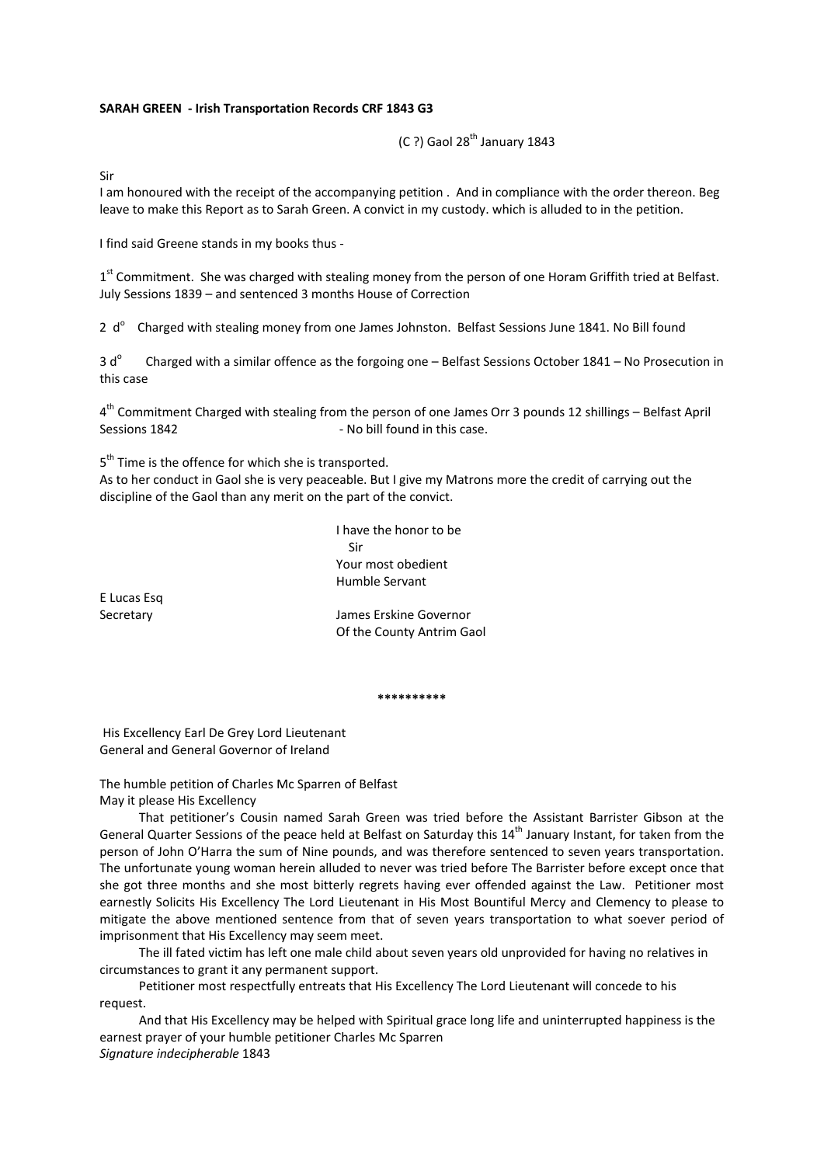## **SARAH GREEN ‐ Irish Transportation Records CRF 1843 G3**

 $(C ?)$  Gaol 28<sup>th</sup> January 1843

Sir

I am honoured with the receipt of the accompanying petition . And in compliance with the order thereon. Beg leave to make this Report as to Sarah Green. A convict in my custody. which is alluded to in the petition.

I find said Greene stands in my books thus ‐

1<sup>st</sup> Commitment. She was charged with stealing money from the person of one Horam Griffith tried at Belfast. July Sessions 1839 – and sentenced 3 months House of Correction

2  $d^{\circ}$  Charged with stealing money from one James Johnston. Belfast Sessions June 1841. No Bill found

 $3 d^{\circ}$  Charged with a similar offence as the forgoing one – Belfast Sessions October 1841 – No Prosecution in this case

4<sup>th</sup> Commitment Charged with stealing from the person of one James Orr 3 pounds 12 shillings – Belfast April Sessions 1842 **Sessions** 1842 **1842 1842 1842 1852 1862 1862 1862 1862 1862 1862 1862 1862 1862 1862 1862 1862 1862 1862 1862** 

5<sup>th</sup> Time is the offence for which she is transported.

As to her conduct in Gaol she is very peaceable. But I give my Matrons more the credit of carrying out the discipline of the Gaol than any merit on the part of the convict.

I have the honor to be Sir Your most obedient Humble Servant

E Lucas Esq

Secretary James Erskine Governor Of the County Antrim Gaol

**\*\*\*\*\*\*\*\*\*\***

His Excellency Earl De Grey Lord Lieutenant General and General Governor of Ireland

The humble petition of Charles Mc Sparren of Belfast May it please His Excellency

That petitioner's Cousin named Sarah Green was tried before the Assistant Barrister Gibson at the General Quarter Sessions of the peace held at Belfast on Saturday this 14<sup>th</sup> January Instant, for taken from the person of John O'Harra the sum of Nine pounds, and was therefore sentenced to seven years transportation. The unfortunate young woman herein alluded to never was tried before The Barrister before except once that she got three months and she most bitterly regrets having ever offended against the Law. Petitioner most earnestly Solicits His Excellency The Lord Lieutenant in His Most Bountiful Mercy and Clemency to please to mitigate the above mentioned sentence from that of seven years transportation to what soever period of imprisonment that His Excellency may seem meet.

The ill fated victim has left one male child about seven years old unprovided for having no relatives in circumstances to grant it any permanent support.

Petitioner most respectfully entreats that His Excellency The Lord Lieutenant will concede to his request.

And that His Excellency may be helped with Spiritual grace long life and uninterrupted happiness is the earnest prayer of your humble petitioner Charles Mc Sparren *Signature indecipherable* 1843